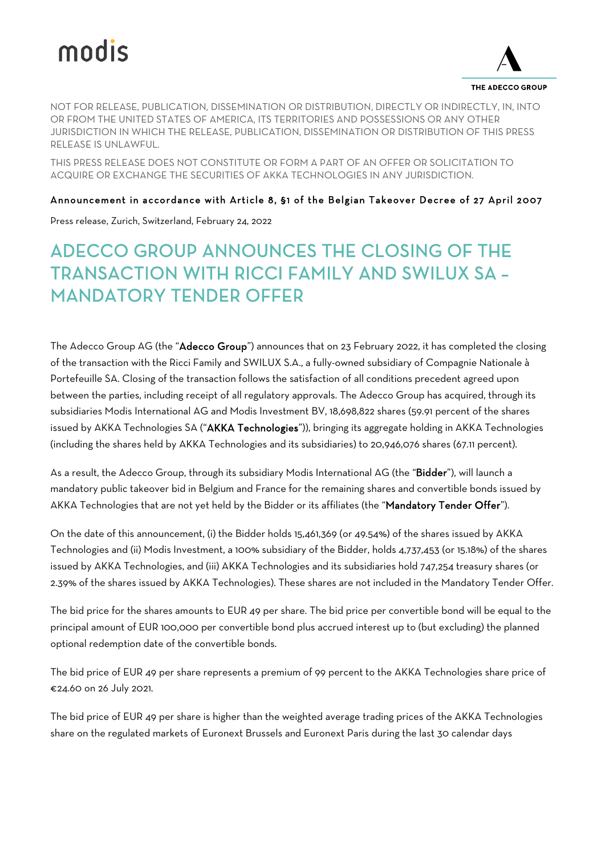# modis



THE ADECCO GROUP

NOT FOR RELEASE, PUBLICATION, DISSEMINATION OR DISTRIBUTION, DIRECTLY OR INDIRECTLY, IN, INTO OR FROM THE UNITED STATES OF AMERICA, ITS TERRITORIES AND POSSESSIONS OR ANY OTHER JURISDICTION IN WHICH THE RELEASE, PUBLICATION, DISSEMINATION OR DISTRIBUTION OF THIS PRESS RELEASE IS UNLAWFUL.

THIS PRESS RELEASE DOES NOT CONSTITUTE OR FORM A PART OF AN OFFER OR SOLICITATION TO ACQUIRE OR EXCHANGE THE SECURITIES OF AKKA TECHNOLOGIES IN ANY JURISDICTION.

# Announcement in accordance with Article 8, §1 of the Belgian Takeover Decree of 27 April 2007

Press release, Zurich, Switzerland, February 24, 2022

# ADECCO GROUP ANNOUNCES THE CLOSING OF THE TRANSACTION WITH RICCI FAMILY AND SWILUX SA – MANDATORY TENDER OFFER

The Adecco Group AG (the "Adecco Group") announces that on 23 February 2022, it has completed the closing of the transaction with the Ricci Family and SWILUX S.A., a fully-owned subsidiary of Compagnie Nationale à Portefeuille SA. Closing of the transaction follows the satisfaction of all conditions precedent agreed upon between the parties, including receipt of all regulatory approvals. The Adecco Group has acquired, through its subsidiaries Modis International AG and Modis Investment BV, 18,698,822 shares (59.91 percent of the shares issued by AKKA Technologies SA ("AKKA Technologies")), bringing its aggregate holding in AKKA Technologies (including the shares held by AKKA Technologies and its subsidiaries) to 20,946,076 shares (67.11 percent).

As a result, the Adecco Group, through its subsidiary Modis International AG (the "Bidder"), will launch a mandatory public takeover bid in Belgium and France for the remaining shares and convertible bonds issued by AKKA Technologies that are not yet held by the Bidder or its affiliates (the "Mandatory Tender Offer").

On the date of this announcement, (i) the Bidder holds 15,461,369 (or 49.54%) of the shares issued by AKKA Technologies and (ii) Modis Investment, a 100% subsidiary of the Bidder, holds 4,737,453 (or 15.18%) of the shares issued by AKKA Technologies, and (iii) AKKA Technologies and its subsidiaries hold 747,254 treasury shares (or 2.39% of the shares issued by AKKA Technologies). These shares are not included in the Mandatory Tender Offer.

The bid price for the shares amounts to EUR 49 per share. The bid price per convertible bond will be equal to the principal amount of EUR 100,000 per convertible bond plus accrued interest up to (but excluding) the planned optional redemption date of the convertible bonds.

The bid price of EUR 49 per share represents a premium of 99 percent to the AKKA Technologies share price of €24.60 on 26 July 2021.

The bid price of EUR 49 per share is higher than the weighted average trading prices of the AKKA Technologies share on the regulated markets of Euronext Brussels and Euronext Paris during the last 30 calendar days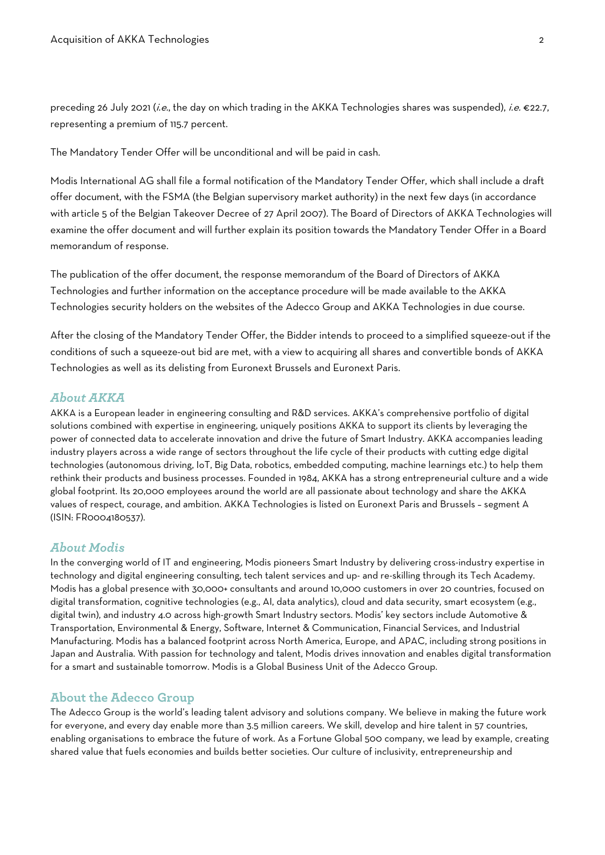preceding 26 July 2021 (i.e., the day on which trading in the AKKA Technologies shares was suspended), i.e. €22.7, representing a premium of 115.7 percent.

The Mandatory Tender Offer will be unconditional and will be paid in cash.

Modis International AG shall file a formal notification of the Mandatory Tender Offer, which shall include a draft offer document, with the FSMA (the Belgian supervisory market authority) in the next few days (in accordance with article 5 of the Belgian Takeover Decree of 27 April 2007). The Board of Directors of AKKA Technologies will examine the offer document and will further explain its position towards the Mandatory Tender Offer in a Board memorandum of response.

The publication of the offer document, the response memorandum of the Board of Directors of AKKA Technologies and further information on the acceptance procedure will be made available to the AKKA Technologies security holders on the websites of the Adecco Group and AKKA Technologies in due course.

After the closing of the Mandatory Tender Offer, the Bidder intends to proceed to a simplified squeeze-out if the conditions of such a squeeze-out bid are met, with a view to acquiring all shares and convertible bonds of AKKA Technologies as well as its delisting from Euronext Brussels and Euronext Paris.

# *About AKKA*

AKKA is a European leader in engineering consulting and R&D services. AKKA's comprehensive portfolio of digital solutions combined with expertise in engineering, uniquely positions AKKA to support its clients by leveraging the power of connected data to accelerate innovation and drive the future of Smart Industry. AKKA accompanies leading industry players across a wide range of sectors throughout the life cycle of their products with cutting edge digital technologies (autonomous driving, IoT, Big Data, robotics, embedded computing, machine learnings etc.) to help them rethink their products and business processes. Founded in 1984, AKKA has a strong entrepreneurial culture and a wide global footprint. Its 20,000 employees around the world are all passionate about technology and share the AKKA values of respect, courage, and ambition. AKKA Technologies is listed on Euronext Paris and Brussels – segment A (ISIN: FR0004180537).

#### *About Modis*

In the converging world of IT and engineering, Modis pioneers Smart Industry by delivering cross-industry expertise in technology and digital engineering consulting, tech talent services and up- and re-skilling through its Tech Academy. Modis has a global presence with 30,000+ consultants and around 10,000 customers in over 20 countries, focused on digital transformation, cognitive technologies (e.g., AI, data analytics), cloud and data security, smart ecosystem (e.g., digital twin), and industry 4.0 across high-growth Smart Industry sectors. Modis' key sectors include Automotive & Transportation, Environmental & Energy, Software, Internet & Communication, Financial Services, and Industrial Manufacturing. Modis has a balanced footprint across North America, Europe, and APAC, including strong positions in Japan and Australia. With passion for technology and talent, Modis drives innovation and enables digital transformation for a smart and sustainable tomorrow. Modis is a Global Business Unit of the Adecco Group.

#### **About the Adecco Group**

The Adecco Group is the world's leading talent advisory and solutions company. We believe in making the future work for everyone, and every day enable more than 3.5 million careers. We skill, develop and hire talent in 57 countries, enabling organisations to embrace the future of work. As a Fortune Global 500 company, we lead by example, creating shared value that fuels economies and builds better societies. Our culture of inclusivity, entrepreneurship and